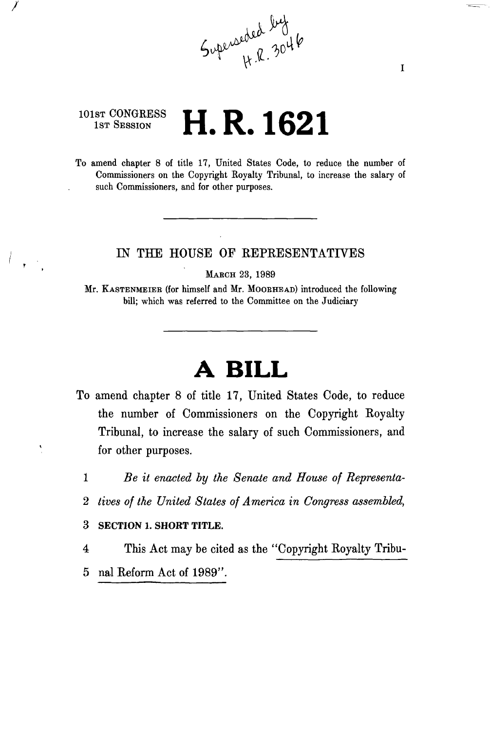

## **101ST** CONGRESS 1st Session **H. R. 1621**

To amend chapter 8 of title 17, United States Code, to reduce the number of Commissioners on the Copyright Royalty Tribunal, to increase the salary of such Commissioners, and for other purposes.

## IN THE HOUSE OF REPRESENTATIVES

MARCH 23, 1989

Mr. KASTENMEIEB (for himself and Mr. MOOEHEAD) introduced the following bill; which was referred to the Committee on the Judiciary

## **A BILL**

- To amend chapter 8 of title 17, United States Code, to reduce the number of Commissioners on the Copyright Royalty Tribunal, to increase the salary of such Commissioners, and for other purposes.
	- 1 *Be it enacted by the Senate and House of Representa-*
	- 2 *tives of the United States of America in Congress assembled,*

3 **SECTION 1. SHORT TITLE.** 

- 4 This Act may be cited as the "Copyright Royalty Tribu-
- 5 nal Reform Act of 1989".